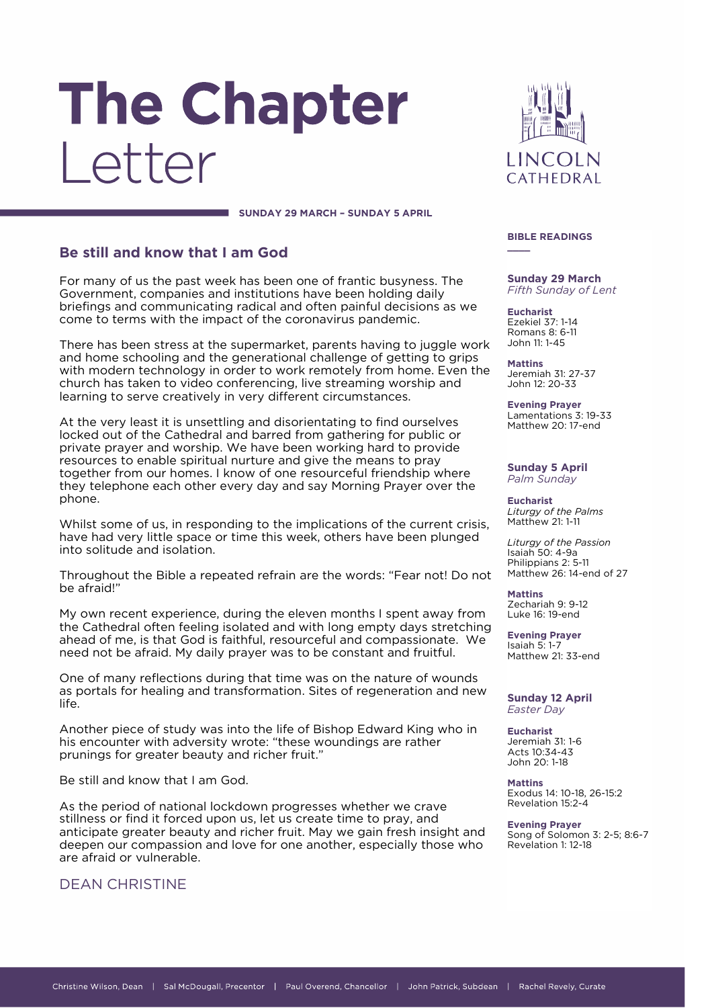# The Chapter Letter

**SUNDAY 29 MARCH – SUNDAY 5 APRIL**

# **Be still and know that I am God**

For many of us the past week has been one of frantic busyness. The Government, companies and institutions have been holding daily briefings and communicating radical and often painful decisions as we come to terms with the impact of the coronavirus pandemic.

There has been stress at the supermarket, parents having to juggle work and home schooling and the generational challenge of getting to grips with modern technology in order to work remotely from home. Even the church has taken to video conferencing, live streaming worship and learning to serve creatively in very different circumstances.

At the very least it is unsettling and disorientating to find ourselves locked out of the Cathedral and barred from gathering for public or private prayer and worship. We have been working hard to provide resources to enable spiritual nurture and give the means to pray together from our homes. I know of one resourceful friendship where they telephone each other every day and say Morning Prayer over the phone.

Whilst some of us, in responding to the implications of the current crisis, have had very little space or time this week, others have been plunged into solitude and isolation.

Throughout the Bible a repeated refrain are the words: "Fear not! Do not be afraid!"

My own recent experience, during the eleven months I spent away from the Cathedral often feeling isolated and with long empty days stretching ahead of me, is that God is faithful, resourceful and compassionate. We need not be afraid. My daily prayer was to be constant and fruitful.

One of many reflections during that time was on the nature of wounds as portals for healing and transformation. Sites of regeneration and new life.

Another piece of study was into the life of Bishop Edward King who in his encounter with adversity wrote: "these woundings are rather prunings for greater beauty and richer fruit."

Be still and know that I am God.

As the period of national lockdown progresses whether we crave stillness or find it forced upon us, let us create time to pray, and anticipate greater beauty and richer fruit. May we gain fresh insight and deepen our compassion and love for one another, especially those who are afraid or vulnerable.

# DEAN CHRISTINE



#### **BIBLE READINGS \_\_\_\_**

#### **Sunday 29 March** *Fifth Sunday of Lent*

**Eucharist** Ezekiel 37: 1-14 Romans 8: 6-11 John 11: 1-45

**Mattins** Jeremiah 31: 27-37 John 12: 20-33

**Evening Prayer** Lamentations 3: 19-33 Matthew 20: 17-end

**Sunday 5 April** *Palm Sunday*

**Eucharist** *Liturgy of the Palms* Matthew 21: 1-11

*Liturgy of the Passion* Isaiah 50: 4-9a Philippians 2: 5-11 Matthew 26: 14-end of 27

**Mattins** Zechariah 9: 9-12 Luke 16: 19-end

**Evening Prayer** Isaiah 5: 1-7 Matthew 21: 33-end

#### **Sunday 12 April** *Easter Day*

**Eucharist** Jeremiah 31: 1-6 Acts 10:34-43 John 20: 1-18

**Mattins** Exodus 14: 10-18, 26-15:2 Revelation 15:2-4

**Evening Prayer** Song of Solomon 3: 2-5; 8:6-7 Revelation 1: 12-18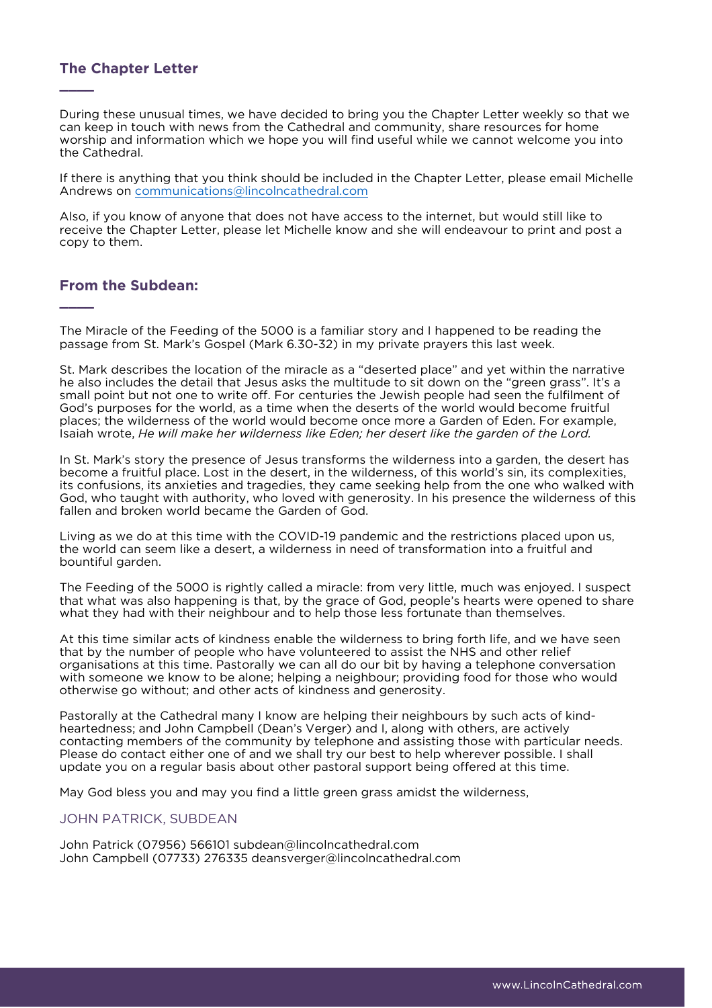# **The Chapter Letter**

**\_\_\_\_**

**\_\_\_\_**

During these unusual times, we have decided to bring you the Chapter Letter weekly so that we can keep in touch with news from the Cathedral and community, share resources for home worship and information which we hope you will find useful while we cannot welcome you into the Cathedral.

If there is anything that you think should be included in the Chapter Letter, please email Michelle Andrews on [communications@lincolncathedral.com](mailto:communications@lincolncathedral.com)

Also, if you know of anyone that does not have access to the internet, but would still like to receive the Chapter Letter, please let Michelle know and she will endeavour to print and post a copy to them.

## **From the Subdean:**

The Miracle of the Feeding of the 5000 is a familiar story and I happened to be reading the passage from St. Mark's Gospel (Mark 6.30-32) in my private prayers this last week.

St. Mark describes the location of the miracle as a "deserted place" and yet within the narrative he also includes the detail that Jesus asks the multitude to sit down on the "green grass". It's a small point but not one to write off. For centuries the Jewish people had seen the fulfilment of God's purposes for the world, as a time when the deserts of the world would become fruitful places; the wilderness of the world would become once more a Garden of Eden. For example, Isaiah wrote, *He will make her wilderness like Eden; her desert like the garden of the Lord.*

In St. Mark's story the presence of Jesus transforms the wilderness into a garden, the desert has become a fruitful place. Lost in the desert, in the wilderness, of this world's sin, its complexities, its confusions, its anxieties and tragedies, they came seeking help from the one who walked with God, who taught with authority, who loved with generosity. In his presence the wilderness of this fallen and broken world became the Garden of God.

Living as we do at this time with the COVID-19 pandemic and the restrictions placed upon us, the world can seem like a desert, a wilderness in need of transformation into a fruitful and bountiful garden.

The Feeding of the 5000 is rightly called a miracle: from very little, much was enjoyed. I suspect that what was also happening is that, by the grace of God, people's hearts were opened to share what they had with their neighbour and to help those less fortunate than themselves.

At this time similar acts of kindness enable the wilderness to bring forth life, and we have seen that by the number of people who have volunteered to assist the NHS and other relief organisations at this time. Pastorally we can all do our bit by having a telephone conversation with someone we know to be alone; helping a neighbour; providing food for those who would otherwise go without; and other acts of kindness and generosity.

Pastorally at the Cathedral many I know are helping their neighbours by such acts of kindheartedness; and John Campbell (Dean's Verger) and I, along with others, are actively contacting members of the community by telephone and assisting those with particular needs. Please do contact either one of and we shall try our best to help wherever possible. I shall update you on a regular basis about other pastoral support being offered at this time.

May God bless you and may you find a little green grass amidst the wilderness,

## JOHN PATRICK, SUBDEAN

John Patrick (07956) 566101 subdean@lincolncathedral.com John Campbell (07733) 276335 deansverger@lincolncathedral.com